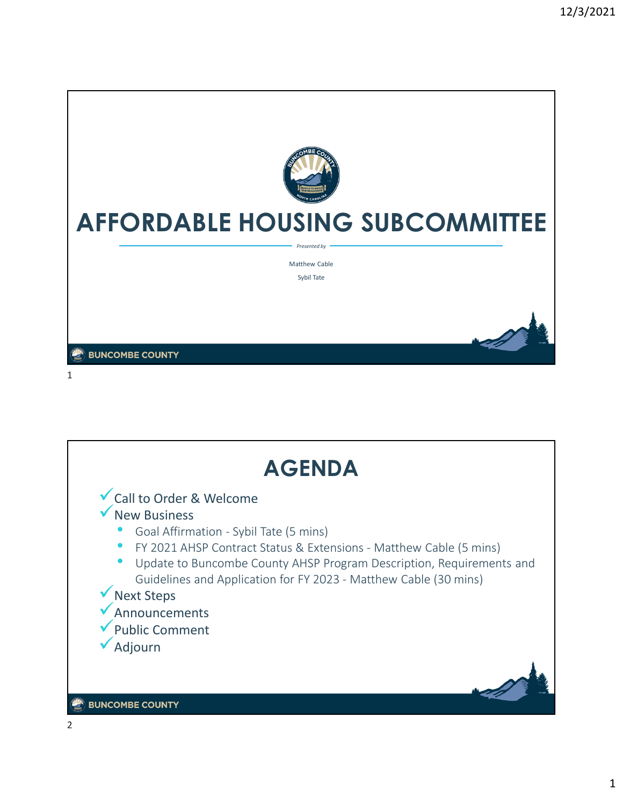

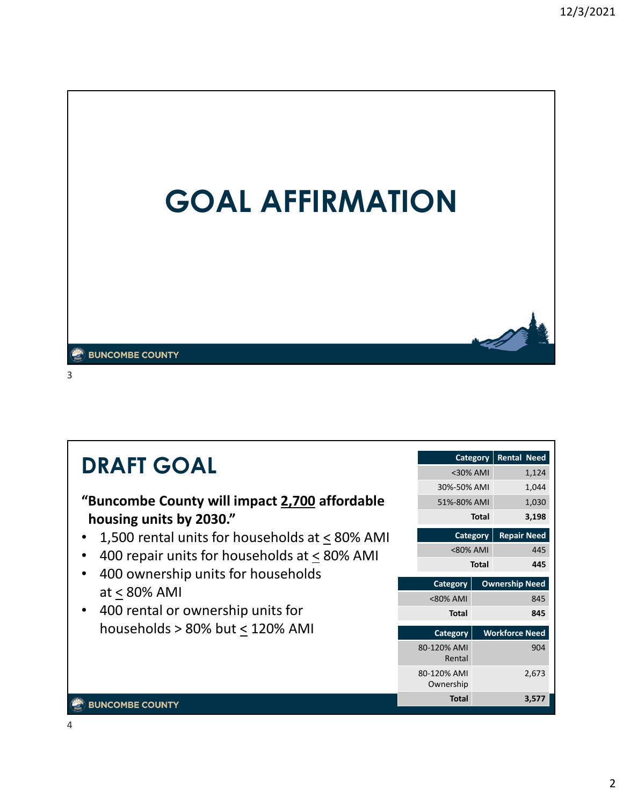

#### **BUNCOMBE COUNTY**

3

#### **Category Rental Need DRAFT GOAL**  $<$ 30% AMI 1,124 30%-50% AMI 1,044 **"Buncombe County will impact 2,700 affordable**  51%-80% AMI 1,030 **Total 3,198 housing units by 2030."** • 1,500 rental units for households at < 80% AMI **Category | Repair Need** <80% AMI 445 • 400 repair units for households at  $\leq$  80% AMI **Total 445** • 400 ownership units for households **Category | Ownership Need** at < 80% AMI <80% AMI 845 • 400 rental or ownership units for **Total 845** households  $> 80\%$  but  $\leq 120\%$  AMI 904 80-120% AMI Rental 80-120% AMI 2,673 Ownership **Total 3,577 BUNCOMBE COUNTY**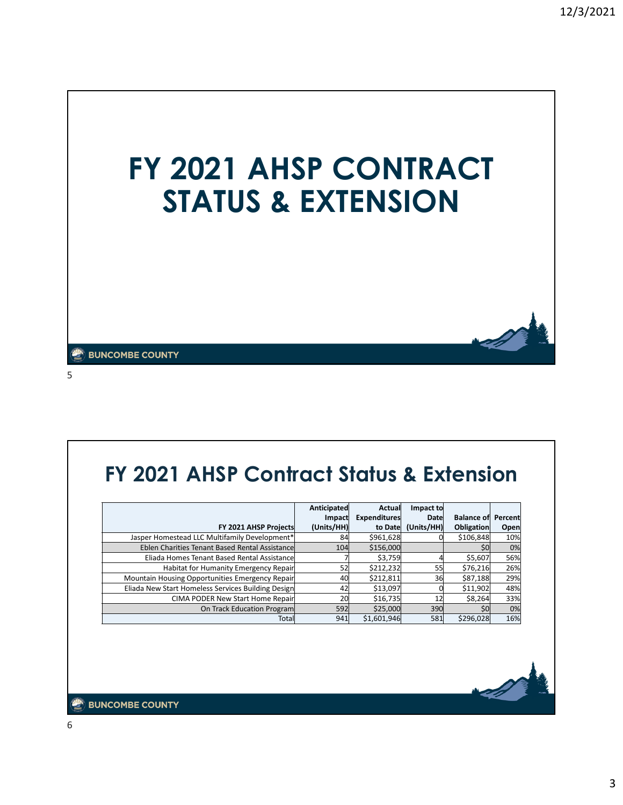

5

# **FY 2021 AHSP Contract Status & Extension**

|                                                    | Anticipated | Actual              | Impact to  |                           |      |
|----------------------------------------------------|-------------|---------------------|------------|---------------------------|------|
|                                                    | Impact      | <b>Expenditures</b> | Date       | <b>Balance of Percent</b> |      |
| FY 2021 AHSP Projects                              | (Units/HH)  | to Date             | (Units/HH) | <b>Obligation</b>         | Open |
| Jasper Homestead LLC Multifamily Development*      | 84          | \$961,628           |            | \$106,848                 | 10%  |
| Eblen Charities Tenant Based Rental Assistance     | 104         | \$156,000           |            | SO                        | 0%   |
| Eliada Homes Tenant Based Rental Assistancel       |             | \$3,759             |            | \$5,607                   | 56%  |
| Habitat for Humanity Emergency Repair              | 52          | \$212,232           | 55         | \$76,216                  | 26%  |
| Mountain Housing Opportunities Emergency Repair    | 40          | \$212,811           | 36         | \$87,188                  | 29%  |
| Eliada New Start Homeless Services Building Design | 42          | \$13,097            |            | \$11,902                  | 48%  |
| CIMA PODER New Start Home Repair                   | 20          | \$16,735            | 12         | \$8,264                   | 33%  |
| On Track Education Program                         | 592         | \$25,000            | 390        | \$0                       | 0%   |
| Totall                                             | 941         | \$1,601,946         | 581        | \$296,028                 | 16%  |

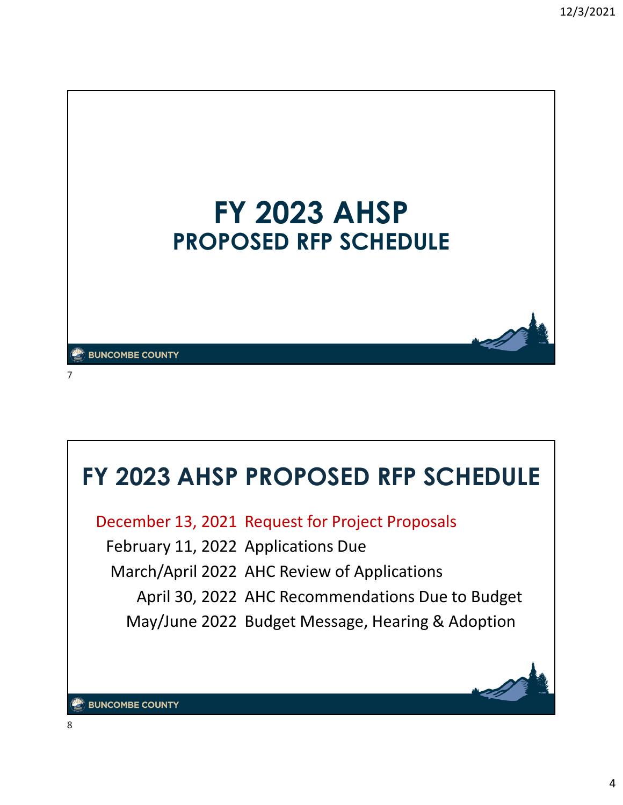

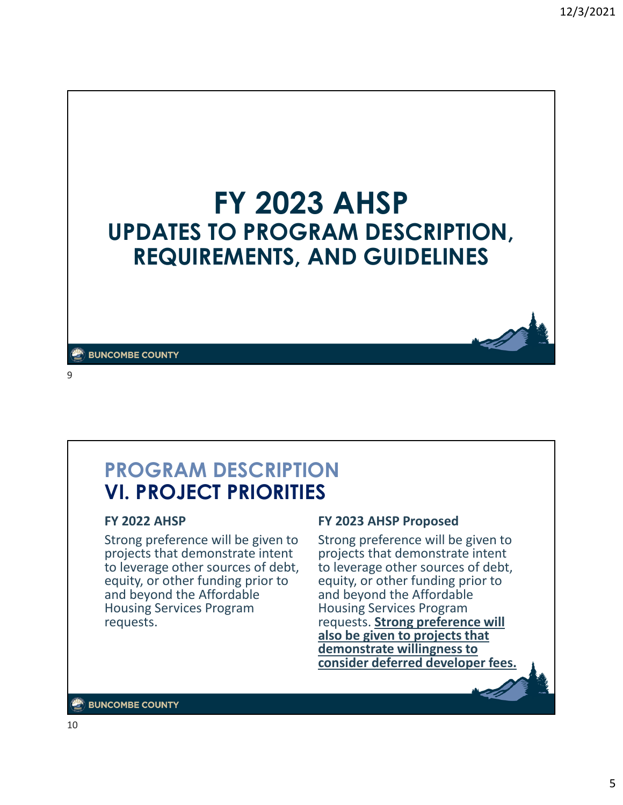

**BUNCOMBE COUNTY** 

9

## **PROGRAM DESCRIPTION VI. PROJECT PRIORITIES**

### **FY 2022 AHSP**

Strong preference will be given to projects that demonstrate intent to leverage other sources of debt, equity, or other funding prior to and beyond the Affordable Housing Services Program requests.

### **FY 2023 AHSP Proposed**

Strong preference will be given to projects that demonstrate intent to leverage other sources of debt, equity, or other funding prior to and beyond the Affordable Housing Services Program requests. **Strong preference will also be given to projects that demonstrate willingness to consider deferred developer fees.**

#### $\mathbb{Z}$  BUNCOMBE COUNTY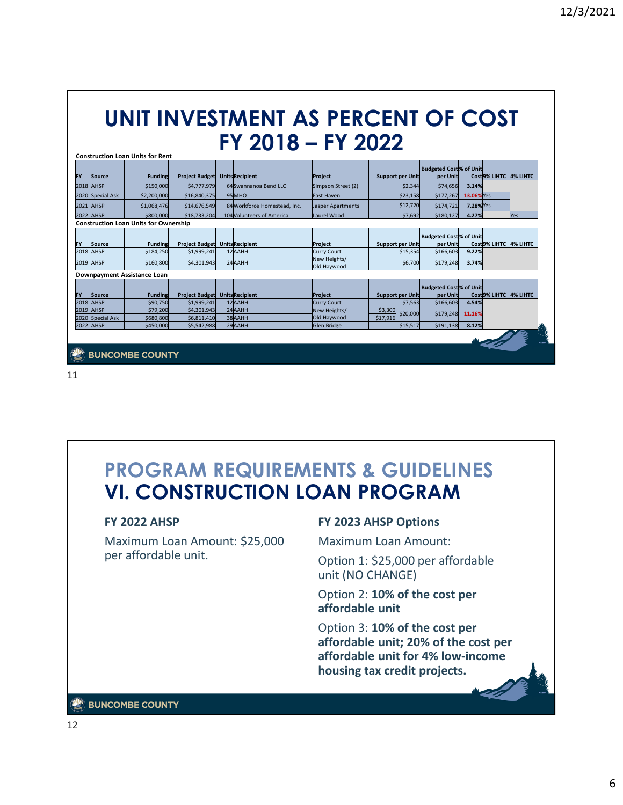# **UNIT INVESTMENT AS PERCENT OF COST FY 2018 – FY 2022**

| FY        | Source              | <b>Funding</b>                               | <b>Project Budget</b>      | <b>UnitsRecipient</b>            | Project                                    | <b>Support per Unit</b>            | <b>Budgeted Cost % of Unit</b><br>per Unit |                 | Cost 9% LIHTC 4% LIHTC |          |
|-----------|---------------------|----------------------------------------------|----------------------------|----------------------------------|--------------------------------------------|------------------------------------|--------------------------------------------|-----------------|------------------------|----------|
|           | <b>2018 AHSP</b>    | \$150,000                                    | \$4,777,979                | 64 Swannanoa Bend LLC            | Simpson Street (2)                         | \$2,344                            | \$74,656                                   | 3.14%           |                        |          |
|           | 2020 Special Ask    | \$2,200,000                                  | \$16,840,375               | 95MHO                            | East Haven                                 | \$23,158                           | \$177,267                                  | 13.06%Yes       |                        |          |
|           | 2021 AHSP           | \$1,068,476                                  | \$14,676,549               | 84 Workforce Homestead, Inc.     | Jasper Apartments                          | \$12,720                           | \$174,721                                  | <b>7.28%Yes</b> |                        |          |
|           | <b>2022 AHSP</b>    | \$800,000                                    | \$18,733,204               | 104 Volunteers of America        | Laurel Wood                                | \$7,692                            | \$180,127                                  | 4.27%           |                        | Yes      |
|           |                     | <b>Construction Loan Units for Ownership</b> |                            |                                  |                                            |                                    |                                            |                 |                        |          |
| <b>FY</b> |                     |                                              |                            |                                  |                                            |                                    | <b>Budgeted Cost % of Unit</b>             |                 | Cost 9% LIHTC 4% LIHTC |          |
|           | Source<br>2018 AHSP | <b>Funding</b><br>\$184,250                  | <b>Project Budget</b>      | <b>UnitsRecipient</b><br>12 AAHH | Project                                    | Support per Unit                   | per Unit                                   | 9.22%           |                        |          |
|           | 2019 AHSP           | \$160,800                                    | \$1,999,241<br>\$4,301,943 | 24 AAHH                          | Curry Court<br>New Heights/<br>Old Haywood | \$15,354<br>\$6,700                | \$166,603<br>\$179,248                     | 3.74%           |                        |          |
|           |                     | Downpayment Assistance Loan                  |                            |                                  |                                            |                                    |                                            |                 |                        |          |
|           |                     |                                              |                            |                                  |                                            |                                    |                                            |                 |                        |          |
|           | Source              | <b>Funding</b>                               | <b>Project Budget</b>      | <b>UnitsRecipient</b>            | Project                                    |                                    | <b>Budgeted Cost % of Unit</b><br>per Unit |                 | Cost 9% LIHTC          |          |
|           | <b>2018 AHSP</b>    | \$90,750                                     | \$1,999,241                | 12AAHH                           | <b>Curry Court</b>                         | <b>Support per Unit</b><br>\$7,563 | \$166,603                                  | 4.54%           |                        | 4% LIHTC |
| FY        | 2019 AHSP           | \$79,200                                     | \$4,301,943                | 24 AAHH                          | New Heights/                               | \$3,300                            |                                            |                 |                        |          |
| 2020      | Special Ask         | \$680,800                                    | \$6,811,410                | 38 AAHH                          | Old Haywood                                | \$20,000<br>\$17,916               | \$179,248                                  | 11.16%<br>8.12% |                        |          |

11

## **PROGRAM REQUIREMENTS & GUIDELINES VI. CONSTRUCTION LOAN PROGRAM**

### **FY 2022 AHSP**

Maximum Loan Amount: \$25,000 per affordable unit.

### **FY 2023 AHSP Options**

Maximum Loan Amount:

Option 1: \$25,000 per affordable unit (NO CHANGE)

Option 2: **10% of the cost per affordable unit**

Option 3: **10% of the cost per affordable unit; 20% of the cost per affordable unit for 4% low-income housing tax credit projects.**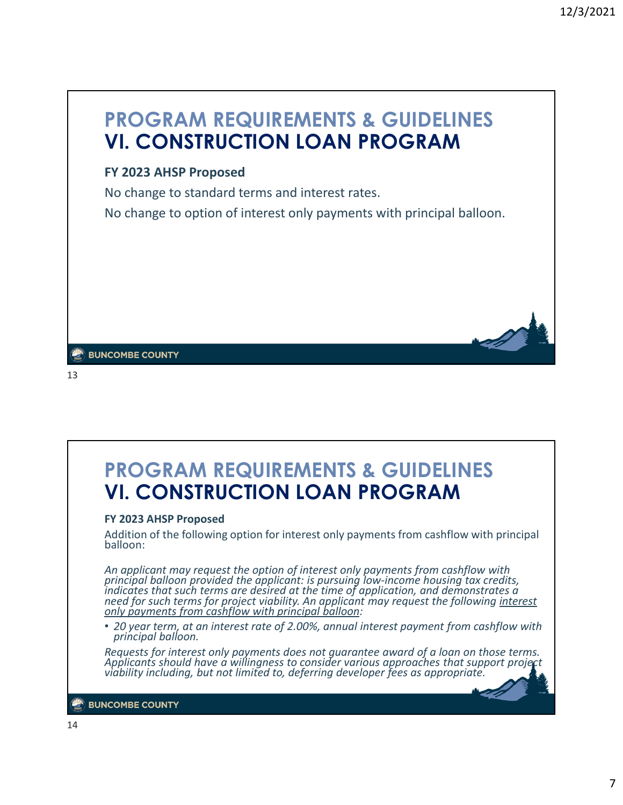# **PROGRAM REQUIREMENTS & GUIDELINES VI. CONSTRUCTION LOAN PROGRAM**

## **FY 2023 AHSP Proposed**

No change to standard terms and interest rates.

No change to option of interest only payments with principal balloon.

**BUNCOMBE COUNTY** 

13

## **PROGRAM REQUIREMENTS & GUIDELINES VI. CONSTRUCTION LOAN PROGRAM**

#### **FY 2023 AHSP Proposed**

Addition of the following option for interest only payments from cashflow with principal balloon:

*An applicant may request the option of interest only payments from cashflow with principal balloon provided the applicant: is pursuing low-income housing tax credits, indicates that such terms are desired at the time of application, and demonstrates a need for such terms for project viability. An applicant may request the following interest only payments from cashflow with principal balloon:*

• *20 year term, at an interest rate of 2.00%, annual interest payment from cashflow with principal balloon.*

*Requests for interest only payments does not guarantee award of a loan on those terms. Applicants should have a willingness to consider various approaches that support project viability including, but not limited to, deferring developer fees as appropriate.*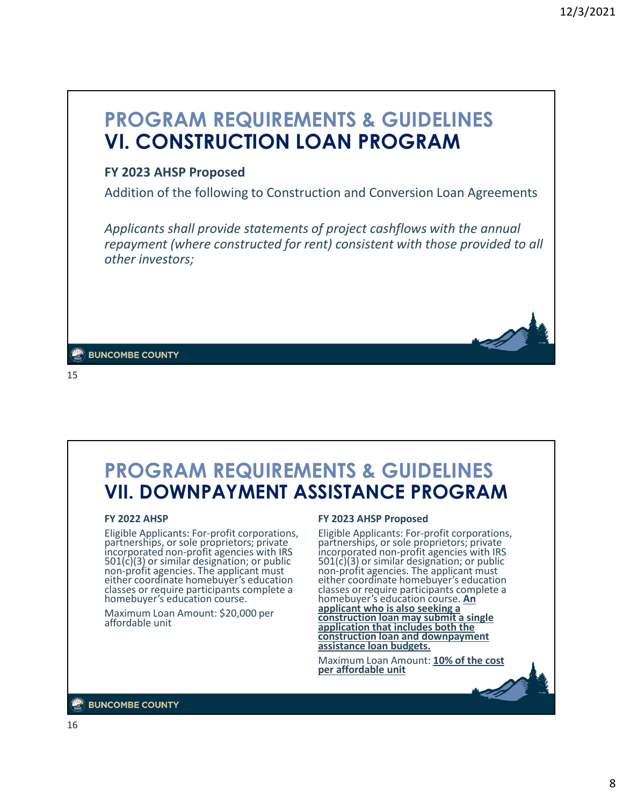## **PROGRAM REQUIREMENTS & GUIDELINES VI. CONSTRUCTION LOAN PROGRAM**

### **FY 2023 AHSP Proposed**

Addition of the following to Construction and Conversion Loan Agreements

*Applicants shall provide statements of project cashflows with the annual repayment (where constructed for rent) consistent with those provided to all other investors;*

**BUNCOMBE COUNTY** 

15

## **PROGRAM REQUIREMENTS & GUIDELINES VII. DOWNPAYMENT ASSISTANCE PROGRAM**

#### **FY 2022 AHSP**

Eligible Applicants: For-profit corporations, partnerships, or sole proprietors; private incorporated non-profit agencies with IRS 501(c)(3) or similar designation; or public non-profit agencies. The applicant must either coordinate homebuyer's education classes or require participants complete a homebuyer's education course.

Maximum Loan Amount: \$20,000 per affordable unit

#### **FY 2023 AHSP Proposed**

Eligible Applicants: For-profit corporations, partnerships, or sole proprietors; private incorporated non-profit agencies with IRS 501(c)(3) or similar designation; or public non-profit agencies. The applicant must either coordinate homebuyer's education classes or require participants complete a homebuyer's education course. **An applicant who is also seeking a construction loan may submit a single application that includes both the construction loan and downpayment assistance loan budgets.**

Maximum Loan Amount: **10% of the cost per affordable unit**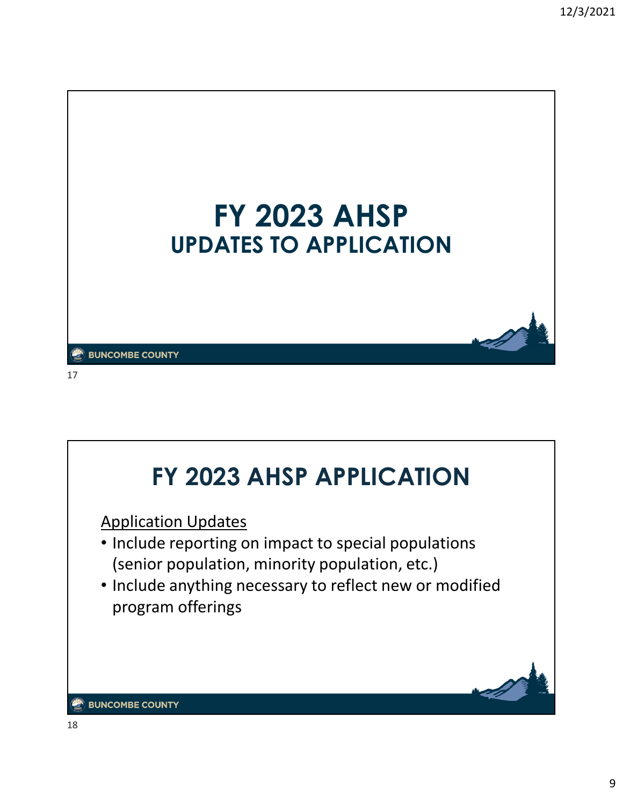

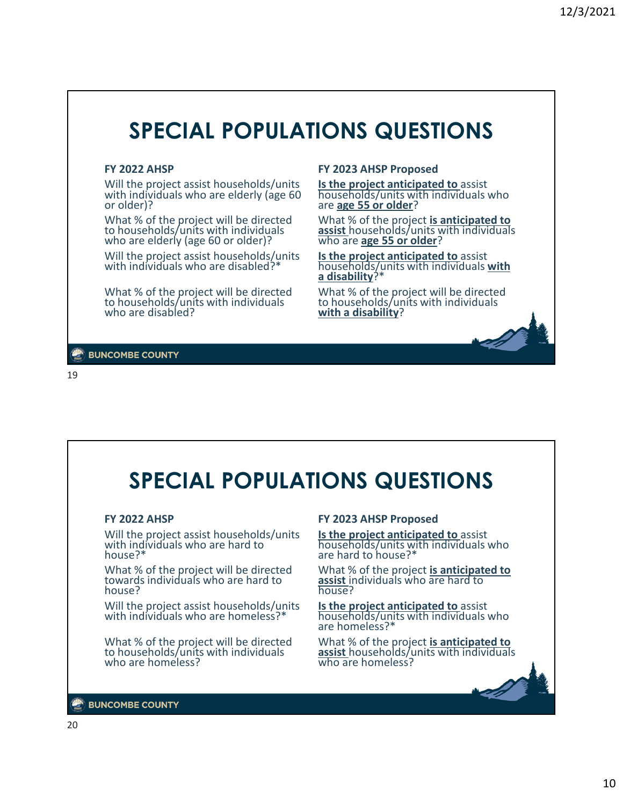# **SPECIAL POPULATIONS QUESTIONS**

#### **FY 2022 AHSP**

Will the project assist households/units with individuals who are elderly (age 60) or older)?

What % of the project will be directed to households/units with individuals who are elderly (age 60 or older)?

Will the project assist households/units with individuals who are disabled?

What % of the project will be directed to households/units with individuals who are disabled?

#### **FY 2023 AHSP Proposed**

**Is the project anticipated to** assist households/units with individuals who are **age 55 or older**?

What % of the project **is anticipated to assist** households/units with individuals who are **age 55 or older**?

**Is the project anticipated to** assist households/units with individuals **with a disability**?\*

What % of the project will be directed to households/units with individuals **with a disability**?

**BUNCOMBE COUNTY** 

19

# **SPECIAL POPULATIONS QUESTIONS**

#### **FY 2022 AHSP**

Will the project assist households/units with individuals who are hard to house?\*

What % of the project will be directed towards individuals who are hard to house?

Will the project assist households/units with individuals who are homeless?\*

What % of the project will be directed to households/units with individuals who are homeless?

#### **FY 2023 AHSP Proposed**

**Is the project anticipated to** assist households/units with individuals who are hard to house?\*

What % of the project **is anticipated to assist** individuals who are hard to house?

**Is the project anticipated to** assist households/units with individuals who are homeless?\*

What % of the project **is anticipated to assist** households/units with individuals who are homeless?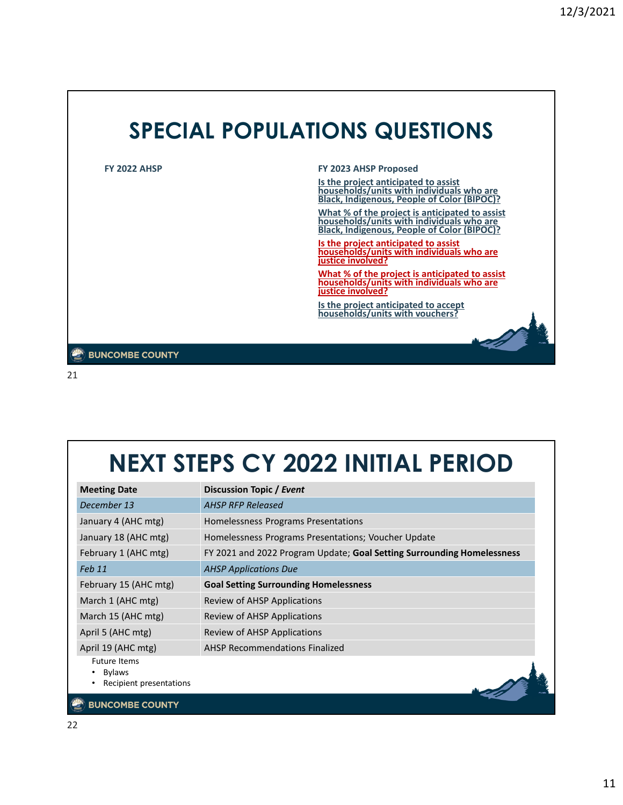

21

# **NEXT STEPS CY 2022 INITIAL PERIOD**

| <b>Meeting Date</b>                                             | Discussion Topic / Event                                               |
|-----------------------------------------------------------------|------------------------------------------------------------------------|
| December 13                                                     | <b>AHSP RFP Released</b>                                               |
| January 4 (AHC mtg)                                             | Homelessness Programs Presentations                                    |
| January 18 (AHC mtg)                                            | Homelessness Programs Presentations; Voucher Update                    |
| February 1 (AHC mtg)                                            | FY 2021 and 2022 Program Update; Goal Setting Surrounding Homelessness |
| Feb 11                                                          | <b>AHSP Applications Due</b>                                           |
| February 15 (AHC mtg)                                           | <b>Goal Setting Surrounding Homelessness</b>                           |
| March 1 (AHC mtg)                                               | Review of AHSP Applications                                            |
| March 15 (AHC mtg)                                              | Review of AHSP Applications                                            |
| April 5 (AHC mtg)                                               | Review of AHSP Applications                                            |
| April 19 (AHC mtg)                                              | <b>AHSP Recommendations Finalized</b>                                  |
| <b>Future Items</b><br><b>Bylaws</b><br>Recipient presentations |                                                                        |
| <b>BUNCOMBE COUNTY</b>                                          |                                                                        |